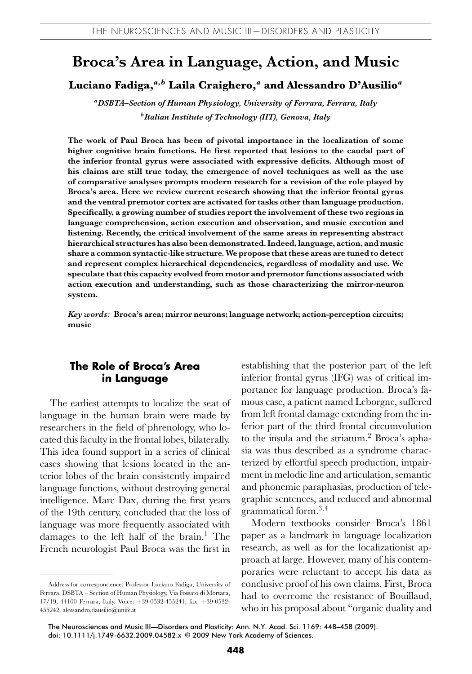# **Broca's Area in Language, Action, and Music**

# **Luciano Fadiga,***<sup>a</sup>***,***<sup>b</sup>* **Laila Craighero,***<sup>a</sup>* **and Alessandro D'Ausilio***<sup>a</sup>*

*aDSBTA–Section of Human Physiology, University of Ferrara, Ferrara, Italy bItalian Institute of Technology (IIT), Genova, Italy*

**The work of Paul Broca has been of pivotal importance in the localization of some higher cognitive brain functions. He first reported that lesions to the caudal part of the inferior frontal gyrus were associated with expressive deficits. Although most of his claims are still true today, the emergence of novel techniques as well as the use of comparative analyses prompts modern research for a revision of the role played by Broca's area. Here we review current research showing that the inferior frontal gyrus and the ventral premotor cortex are activated for tasks other than language production. Specifically, a growing number of studies report the involvement of these two regions in language comprehension, action execution and observation, and music execution and listening. Recently, the critical involvement of the same areas in representing abstract hierarchical structures has also been demonstrated. Indeed, language, action, and music share a common syntactic-like structure. We propose that these areas are tuned to detect and represent complex hierarchical dependencies, regardless of modality and use. We speculate that this capacity evolved from motor and premotor functions associated with action execution and understanding, such as those characterizing the mirror-neuron system.**

*Key words:* **Broca's area; mirror neurons; language network; action-perception circuits; music**

## **The Role of Broca's Area in Language**

The earliest attempts to localize the seat of language in the human brain were made by researchers in the field of phrenology, who located this faculty in the frontal lobes, bilaterally. This idea found support in a series of clinical cases showing that lesions located in the anterior lobes of the brain consistently impaired language functions, without destroying general intelligence. Marc Dax, during the first years of the 19th century, concluded that the loss of language was more frequently associated with damages to the left half of the brain.<sup>1</sup> The French neurologist Paul Broca was the first in

establishing that the posterior part of the left inferior frontal gyrus (IFG) was of critical importance for language production. Broca's famous case, a patient named Leborgne, suffered from left frontal damage extending from the inferior part of the third frontal circumvolution to the insula and the striatum.<sup>2</sup> Broca's aphasia was thus described as a syndrome characterized by effortful speech production, impairment in melodic line and articulation, semantic and phonemic paraphasias, production of telegraphic sentences, and reduced and abnormal grammatical form.3*,*<sup>4</sup>

Modern textbooks consider Broca's 1861 paper as a landmark in language localization research, as well as for the localizationist approach at large. However, many of his contemporaries were reluctant to accept his data as conclusive proof of his own claims. First, Broca had to overcome the resistance of Bouillaud, who in his proposal about "organic duality and

Address for correspondence: Professor Luciano Fadiga, University of Ferrara, DSBTA – Section of Human Physiology, Via Fossato di Mortara, 17/19, 44100 Ferrara, Italy. Voice: +39-0532-455241; fax: +39-0532- 455242. alessandro.dausilio@unife.it

The Neurosciences and Music III—Disorders and Plasticity: Ann. N.Y. Acad. Sci. 1169: 448–458 (2009). doi: 10.1111/j.1749-6632.2009.04582.x **-**c 2009 New York Academy of Sciences.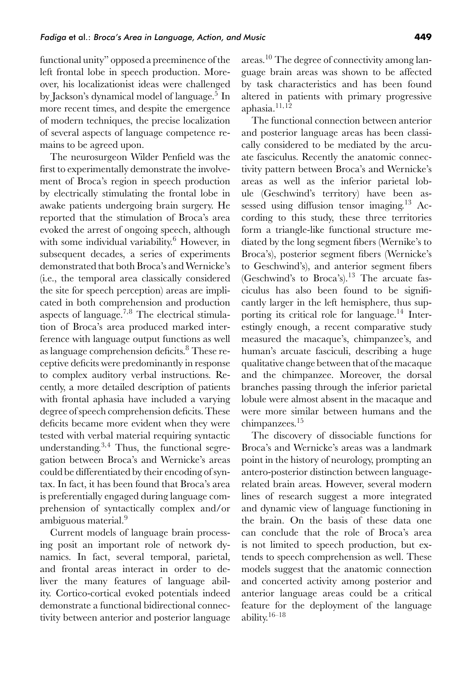functional unity" opposed a preeminence of the left frontal lobe in speech production. Moreover, his localizationist ideas were challenged by Jackson's dynamical model of language.<sup>5</sup> In more recent times, and despite the emergence of modern techniques, the precise localization of several aspects of language competence remains to be agreed upon.

The neurosurgeon Wilder Penfield was the first to experimentally demonstrate the involvement of Broca's region in speech production by electrically stimulating the frontal lobe in awake patients undergoing brain surgery. He reported that the stimulation of Broca's area evoked the arrest of ongoing speech, although with some individual variability.<sup>6</sup> However, in subsequent decades, a series of experiments demonstrated that both Broca's and Wernicke's (i.e., the temporal area classically considered the site for speech perception) areas are implicated in both comprehension and production aspects of language.7*,*<sup>8</sup> The electrical stimulation of Broca's area produced marked interference with language output functions as well as language comprehension deficits.8 These receptive deficits were predominantly in response to complex auditory verbal instructions. Recently, a more detailed description of patients with frontal aphasia have included a varying degree of speech comprehension deficits. These deficits became more evident when they were tested with verbal material requiring syntactic understanding.<sup>3</sup>*,*<sup>4</sup> Thus, the functional segregation between Broca's and Wernicke's areas could be differentiated by their encoding of syntax. In fact, it has been found that Broca's area is preferentially engaged during language comprehension of syntactically complex and/or ambiguous material.<sup>9</sup>

Current models of language brain processing posit an important role of network dynamics. In fact, several temporal, parietal, and frontal areas interact in order to deliver the many features of language ability. Cortico-cortical evoked potentials indeed demonstrate a functional bidirectional connectivity between anterior and posterior language

areas.10 The degree of connectivity among language brain areas was shown to be affected by task characteristics and has been found altered in patients with primary progressive aphasia.11*,*<sup>12</sup>

The functional connection between anterior and posterior language areas has been classically considered to be mediated by the arcuate fasciculus. Recently the anatomic connectivity pattern between Broca's and Wernicke's areas as well as the inferior parietal lobule (Geschwind's territory) have been assessed using diffusion tensor imaging.<sup>13</sup> According to this study, these three territories form a triangle-like functional structure mediated by the long segment fibers (Wernike's to Broca's), posterior segment fibers (Wernicke's to Geschwind's), and anterior segment fibers (Geschwind's to Broca's).<sup>13</sup> The arcuate fasciculus has also been found to be significantly larger in the left hemisphere, thus supporting its critical role for language.<sup>14</sup> Interestingly enough, a recent comparative study measured the macaque's, chimpanzee's, and human's arcuate fasciculi, describing a huge qualitative change between that of the macaque and the chimpanzee. Moreover, the dorsal branches passing through the inferior parietal lobule were almost absent in the macaque and were more similar between humans and the chimpanzees.15

The discovery of dissociable functions for Broca's and Wernicke's areas was a landmark point in the history of neurology, prompting an antero-posterior distinction between languagerelated brain areas. However, several modern lines of research suggest a more integrated and dynamic view of language functioning in the brain. On the basis of these data one can conclude that the role of Broca's area is not limited to speech production, but extends to speech comprehension as well. These models suggest that the anatomic connection and concerted activity among posterior and anterior language areas could be a critical feature for the deployment of the language ability. $16-18$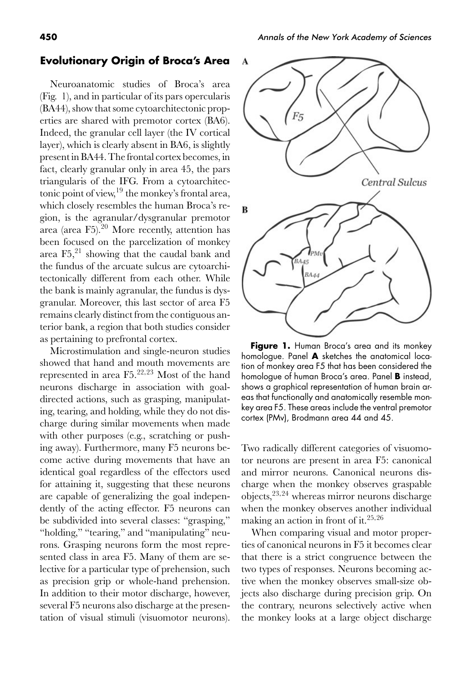### **Evolutionary Origin of Broca's Area**

Neuroanatomic studies of Broca's area (Fig. 1), and in particular of its pars opercularis (BA44), show that some cytoarchitectonic properties are shared with premotor cortex (BA6). Indeed, the granular cell layer (the IV cortical layer), which is clearly absent in BA6, is slightly present in BA44. The frontal cortex becomes, in fact, clearly granular only in area 45, the pars triangularis of the IFG. From a cytoarchitectonic point of view,  $19$  the monkey's frontal area, which closely resembles the human Broca's region, is the agranular/dysgranular premotor area (area F5).<sup>20</sup> More recently, attention has been focused on the parcelization of monkey area F5,21 showing that the caudal bank and the fundus of the arcuate sulcus are cytoarchitectonically different from each other. While the bank is mainly agranular, the fundus is dysgranular. Moreover, this last sector of area F5 remains clearly distinct from the contiguous anterior bank, a region that both studies consider as pertaining to prefrontal cortex.

Microstimulation and single-neuron studies showed that hand and mouth movements are represented in area F5.22*,*<sup>23</sup> Most of the hand neurons discharge in association with goaldirected actions, such as grasping, manipulating, tearing, and holding, while they do not discharge during similar movements when made with other purposes (e.g., scratching or pushing away). Furthermore, many F5 neurons become active during movements that have an identical goal regardless of the effectors used for attaining it, suggesting that these neurons are capable of generalizing the goal independently of the acting effector. F5 neurons can be subdivided into several classes: "grasping," "holding," "tearing," and "manipulating" neurons. Grasping neurons form the most represented class in area F5. Many of them are selective for a particular type of prehension, such as precision grip or whole-hand prehension. In addition to their motor discharge, however, several F5 neurons also discharge at the presentation of visual stimuli (visuomotor neurons).



Figure 1. Human Broca's area and its monkey homologue. Panel **A** sketches the anatomical location of monkey area F5 that has been considered the homologue of human Broca's area. Panel **B** instead, shows a graphical representation of human brain areas that functionally and anatomically resemble monkey area F5. These areas include the ventral premotor cortex (PMv), Brodmann area 44 and 45.

Two radically different categories of visuomotor neurons are present in area F5: canonical and mirror neurons. Canonical neurons discharge when the monkey observes graspable objects,23*,*<sup>24</sup> whereas mirror neurons discharge when the monkey observes another individual making an action in front of it.25*,*<sup>26</sup>

When comparing visual and motor properties of canonical neurons in F5 it becomes clear that there is a strict congruence between the two types of responses. Neurons becoming active when the monkey observes small-size objects also discharge during precision grip. On the contrary, neurons selectively active when the monkey looks at a large object discharge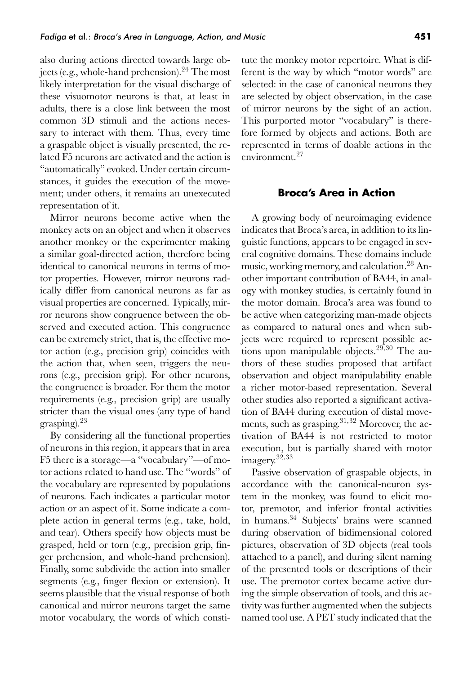also during actions directed towards large objects (e.g., whole-hand prehension).<sup>24</sup> The most likely interpretation for the visual discharge of these visuomotor neurons is that, at least in adults, there is a close link between the most common 3D stimuli and the actions necessary to interact with them. Thus, every time a graspable object is visually presented, the related F5 neurons are activated and the action is "automatically" evoked. Under certain circumstances, it guides the execution of the movement; under others, it remains an unexecuted representation of it.

Mirror neurons become active when the monkey acts on an object and when it observes another monkey or the experimenter making a similar goal-directed action, therefore being identical to canonical neurons in terms of motor properties. However, mirror neurons radically differ from canonical neurons as far as visual properties are concerned. Typically, mirror neurons show congruence between the observed and executed action. This congruence can be extremely strict, that is, the effective motor action (e.g., precision grip) coincides with the action that, when seen, triggers the neurons (e.g., precision grip). For other neurons, the congruence is broader. For them the motor requirements (e.g., precision grip) are usually stricter than the visual ones (any type of hand grasping).  $23$ 

By considering all the functional properties of neurons in this region, it appears that in area F5 there is a storage—a ''vocabulary''—of motor actions related to hand use. The ''words'' of the vocabulary are represented by populations of neurons. Each indicates a particular motor action or an aspect of it. Some indicate a complete action in general terms (e.g., take, hold, and tear). Others specify how objects must be grasped, held or torn (e.g., precision grip, finger prehension, and whole-hand prehension). Finally, some subdivide the action into smaller segments (e.g., finger flexion or extension). It seems plausible that the visual response of both canonical and mirror neurons target the same motor vocabulary, the words of which constitute the monkey motor repertoire. What is different is the way by which "motor words" are selected: in the case of canonical neurons they are selected by object observation, in the case of mirror neurons by the sight of an action. This purported motor "vocabulary" is therefore formed by objects and actions. Both are represented in terms of doable actions in the environment.<sup>27</sup>

### **Broca's Area in Action**

A growing body of neuroimaging evidence indicates that Broca's area, in addition to its linguistic functions, appears to be engaged in several cognitive domains. These domains include music, working memory, and calculation.<sup>28</sup> Another important contribution of BA44, in analogy with monkey studies, is certainly found in the motor domain. Broca's area was found to be active when categorizing man-made objects as compared to natural ones and when subjects were required to represent possible actions upon manipulable objects.<sup>29</sup>*,*<sup>30</sup> The authors of these studies proposed that artifact observation and object manipulability enable a richer motor-based representation. Several other studies also reported a significant activation of BA44 during execution of distal movements, such as grasping.<sup>31,32</sup> Moreover, the activation of BA44 is not restricted to motor execution, but is partially shared with motor imagery.32*,*<sup>33</sup>

Passive observation of graspable objects, in accordance with the canonical-neuron system in the monkey, was found to elicit motor, premotor, and inferior frontal activities in humans.<sup>34</sup> Subjects' brains were scanned during observation of bidimensional colored pictures, observation of 3D objects (real tools attached to a panel), and during silent naming of the presented tools or descriptions of their use. The premotor cortex became active during the simple observation of tools, and this activity was further augmented when the subjects named tool use. A PET study indicated that the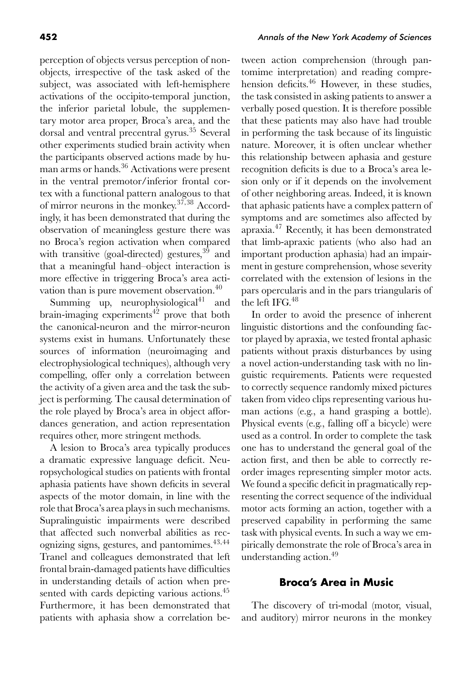perception of objects versus perception of nonobjects, irrespective of the task asked of the subject, was associated with left-hemisphere activations of the occipito-temporal junction, the inferior parietal lobule, the supplementary motor area proper, Broca's area, and the dorsal and ventral precentral gyrus.<sup>35</sup> Several other experiments studied brain activity when the participants observed actions made by human arms or hands.<sup>36</sup> Activations were present in the ventral premotor/inferior frontal cortex with a functional pattern analogous to that of mirror neurons in the monkey.<sup>37</sup>*,*<sup>38</sup> Accordingly, it has been demonstrated that during the observation of meaningless gesture there was no Broca's region activation when compared with transitive (goal-directed) gestures,  $3\overline{9}$  and that a meaningful hand–object interaction is more effective in triggering Broca's area activation than is pure movement observation.<sup>40</sup>

Summing up, neurophysiological<sup>41</sup> and brain-imaging experiments $42$  prove that both the canonical-neuron and the mirror-neuron systems exist in humans. Unfortunately these sources of information (neuroimaging and electrophysiological techniques), although very compelling, offer only a correlation between the activity of a given area and the task the subject is performing. The causal determination of the role played by Broca's area in object affordances generation, and action representation requires other, more stringent methods.

A lesion to Broca's area typically produces a dramatic expressive language deficit. Neuropsychological studies on patients with frontal aphasia patients have shown deficits in several aspects of the motor domain, in line with the role that Broca's area plays in such mechanisms. Supralinguistic impairments were described that affected such nonverbal abilities as recognizing signs, gestures, and pantomimes.43*,*<sup>44</sup> Tranel and colleagues demonstrated that left frontal brain-damaged patients have difficulties in understanding details of action when presented with cards depicting various actions.<sup>45</sup> Furthermore, it has been demonstrated that patients with aphasia show a correlation between action comprehension (through pantomime interpretation) and reading comprehension deficits.<sup>46</sup> However, in these studies, the task consisted in asking patients to answer a verbally posed question. It is therefore possible that these patients may also have had trouble in performing the task because of its linguistic nature. Moreover, it is often unclear whether this relationship between aphasia and gesture recognition deficits is due to a Broca's area lesion only or if it depends on the involvement of other neighboring areas. Indeed, it is known that aphasic patients have a complex pattern of symptoms and are sometimes also affected by apraxia.47 Recently, it has been demonstrated that limb-apraxic patients (who also had an important production aphasia) had an impairment in gesture comprehension, whose severity correlated with the extension of lesions in the pars opercularis and in the pars triangularis of the left IFG. $^{48}$ 

In order to avoid the presence of inherent linguistic distortions and the confounding factor played by apraxia, we tested frontal aphasic patients without praxis disturbances by using a novel action-understanding task with no linguistic requirements. Patients were requested to correctly sequence randomly mixed pictures taken from video clips representing various human actions (e.g., a hand grasping a bottle). Physical events (e.g., falling off a bicycle) were used as a control. In order to complete the task one has to understand the general goal of the action first, and then be able to correctly reorder images representing simpler motor acts. We found a specific deficit in pragmatically representing the correct sequence of the individual motor acts forming an action, together with a preserved capability in performing the same task with physical events. In such a way we empirically demonstrate the role of Broca's area in understanding action.49

### **Broca's Area in Music**

The discovery of tri-modal (motor, visual, and auditory) mirror neurons in the monkey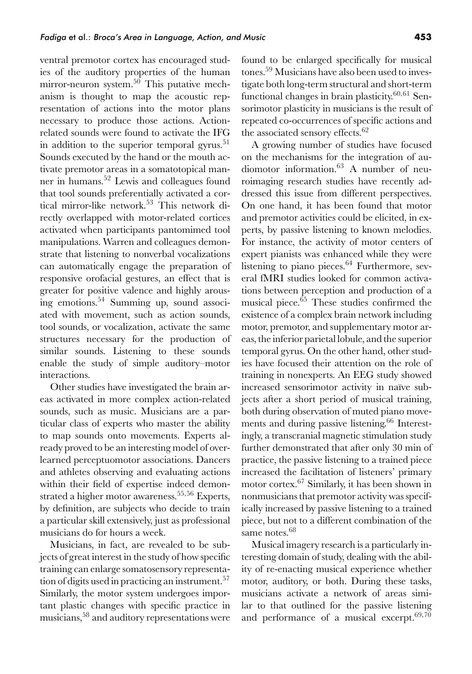ventral premotor cortex has encouraged studies of the auditory properties of the human mirror-neuron system.<sup>50</sup> This putative mechanism is thought to map the acoustic representation of actions into the motor plans necessary to produce those actions. Actionrelated sounds were found to activate the IFG in addition to the superior temporal gyrus. $51$ Sounds executed by the hand or the mouth activate premotor areas in a somatotopical manner in humans.52 Lewis and colleagues found that tool sounds preferentially activated a cortical mirror-like network.53 This network directly overlapped with motor-related cortices activated when participants pantomimed tool manipulations. Warren and colleagues demonstrate that listening to nonverbal vocalizations can automatically engage the preparation of responsive orofacial gestures, an effect that is greater for positive valence and highly arousing emotions.54 Summing up, sound associated with movement, such as action sounds, tool sounds, or vocalization, activate the same structures necessary for the production of similar sounds. Listening to these sounds enable the study of simple auditory–motor interactions.

Other studies have investigated the brain areas activated in more complex action-related sounds, such as music. Musicians are a particular class of experts who master the ability to map sounds onto movements. Experts already proved to be an interesting model of overlearned perceptuomotor associations. Dancers and athletes observing and evaluating actions within their field of expertise indeed demonstrated a higher motor awareness.<sup>55</sup>*,*<sup>56</sup> Experts, by definition, are subjects who decide to train a particular skill extensively, just as professional musicians do for hours a week.

Musicians, in fact, are revealed to be subjects of great interest in the study of how specific training can enlarge somatosensory representation of digits used in practicing an instrument.<sup>57</sup> Similarly, the motor system undergoes important plastic changes with specific practice in musicians,58 and auditory representations were found to be enlarged specifically for musical tones.59 Musicians have also been used to investigate both long-term structural and short-term functional changes in brain plasticity.<sup>60</sup>*,*<sup>61</sup> Sensorimotor plasticity in musicians is the result of repeated co-occurrences of specific actions and the associated sensory effects.<sup>62</sup>

A growing number of studies have focused on the mechanisms for the integration of audiomotor information.<sup>63</sup> A number of neuroimaging research studies have recently addressed this issue from different perspectives. On one hand, it has been found that motor and premotor activities could be elicited, in experts, by passive listening to known melodies. For instance, the activity of motor centers of expert pianists was enhanced while they were listening to piano pieces.<sup>64</sup> Furthermore, several fMRI studies looked for common activations between perception and production of a musical piece.65 These studies confirmed the existence of a complex brain network including motor, premotor, and supplementary motor areas, the inferior parietal lobule, and the superior temporal gyrus. On the other hand, other studies have focused their attention on the role of training in nonexperts. An EEG study showed increased sensorimotor activity in naïve subjects after a short period of musical training, both during observation of muted piano movements and during passive listening.<sup>66</sup> Interestingly, a transcranial magnetic stimulation study further demonstrated that after only 30 min of practice, the passive listening to a trained piece increased the facilitation of listeners' primary motor cortex.67 Similarly, it has been shown in nonmusicians that premotor activity was specifically increased by passive listening to a trained piece, but not to a different combination of the same notes.<sup>68</sup>

Musical imagery research is a particularly interesting domain of study, dealing with the ability of re-enacting musical experience whether motor, auditory, or both. During these tasks, musicians activate a network of areas similar to that outlined for the passive listening and performance of a musical excerpt.69*,*70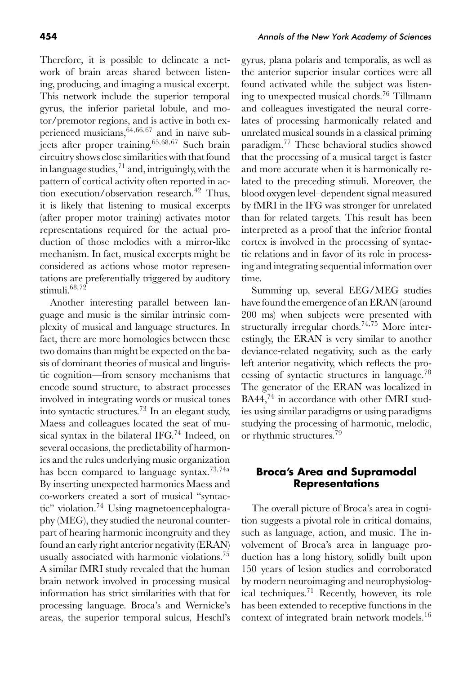Therefore, it is possible to delineate a network of brain areas shared between listening, producing, and imaging a musical excerpt. This network include the superior temporal gyrus, the inferior parietal lobule, and motor/premotor regions, and is active in both experienced musicians,<sup>64,66,67</sup> and in naïve subjects after proper training.65*,*68*,*<sup>67</sup> Such brain circuitry shows close similarities with that found in language studies, $^{71}$  and, intriguingly, with the pattern of cortical activity often reported in action execution/observation research. $42$  Thus, it is likely that listening to musical excerpts (after proper motor training) activates motor representations required for the actual production of those melodies with a mirror-like mechanism. In fact, musical excerpts might be considered as actions whose motor representations are preferentially triggered by auditory stimuli.68*,*<sup>72</sup>

Another interesting parallel between language and music is the similar intrinsic complexity of musical and language structures. In fact, there are more homologies between these two domains than might be expected on the basis of dominant theories of musical and linguistic cognition—from sensory mechanisms that encode sound structure, to abstract processes involved in integrating words or musical tones into syntactic structures.73 In an elegant study, Maess and colleagues located the seat of musical syntax in the bilateral IFG.<sup>74</sup> Indeed, on several occasions, the predictability of harmonics and the rules underlying music organization has been compared to language syntax.73*,*74a By inserting unexpected harmonics Maess and co-workers created a sort of musical "syntactic" violation.<sup>74</sup> Using magnetoencephalography (MEG), they studied the neuronal counterpart of hearing harmonic incongruity and they found an early right anterior negativity (ERAN) usually associated with harmonic violations.<sup>75</sup> A similar fMRI study revealed that the human brain network involved in processing musical information has strict similarities with that for processing language. Broca's and Wernicke's areas, the superior temporal sulcus, Heschl's

gyrus, plana polaris and temporalis, as well as the anterior superior insular cortices were all found activated while the subject was listening to unexpected musical chords.76 Tillmann and colleagues investigated the neural correlates of processing harmonically related and unrelated musical sounds in a classical priming paradigm.77 These behavioral studies showed that the processing of a musical target is faster and more accurate when it is harmonically related to the preceding stimuli. Moreover, the blood oxygen level–dependent signal measured by fMRI in the IFG was stronger for unrelated than for related targets. This result has been interpreted as a proof that the inferior frontal cortex is involved in the processing of syntactic relations and in favor of its role in processing and integrating sequential information over time.

Summing up, several EEG/MEG studies have found the emergence of an ERAN (around 200 ms) when subjects were presented with structurally irregular chords.74*,*<sup>75</sup> More interestingly, the ERAN is very similar to another deviance-related negativity, such as the early left anterior negativity, which reflects the processing of syntactic structures in language.78 The generator of the ERAN was localized in  $BA44<sup>74</sup>$  in accordance with other fMRI studies using similar paradigms or using paradigms studying the processing of harmonic, melodic, or rhythmic structures.<sup>79</sup>

### **Broca's Area and Supramodal Representations**

The overall picture of Broca's area in cognition suggests a pivotal role in critical domains, such as language, action, and music. The involvement of Broca's area in language production has a long history, solidly built upon 150 years of lesion studies and corroborated by modern neuroimaging and neurophysiological techniques.71 Recently, however, its role has been extended to receptive functions in the context of integrated brain network models.<sup>16</sup>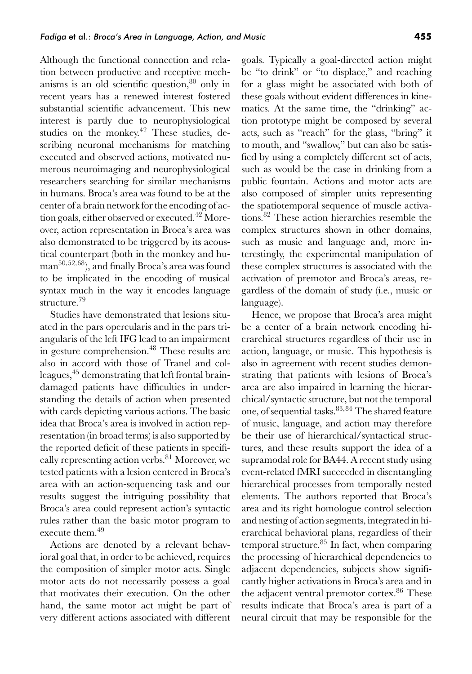Although the functional connection and relation between productive and receptive mechanisms is an old scientific question, $80$  only in recent years has a renewed interest fostered substantial scientific advancement. This new interest is partly due to neurophysiological studies on the monkey.<sup>42</sup> These studies, describing neuronal mechanisms for matching executed and observed actions, motivated numerous neuroimaging and neurophysiological researchers searching for similar mechanisms in humans. Broca's area was found to be at the center of a brain network for the encoding of action goals, either observed or executed.<sup>42</sup> Moreover, action representation in Broca's area was also demonstrated to be triggered by its acoustical counterpart (both in the monkey and human<sup>50</sup>*,*52*,*68), and finally Broca's area was found to be implicated in the encoding of musical syntax much in the way it encodes language structure.79

Studies have demonstrated that lesions situated in the pars opercularis and in the pars triangularis of the left IFG lead to an impairment in gesture comprehension.<sup>48</sup> These results are also in accord with those of Tranel and colleagues,<sup>45</sup> demonstrating that left frontal braindamaged patients have difficulties in understanding the details of action when presented with cards depicting various actions. The basic idea that Broca's area is involved in action representation (in broad terms) is also supported by the reported deficit of these patients in specifically representing action verbs.<sup>81</sup> Moreover, we tested patients with a lesion centered in Broca's area with an action-sequencing task and our results suggest the intriguing possibility that Broca's area could represent action's syntactic rules rather than the basic motor program to execute them.49

Actions are denoted by a relevant behavioral goal that, in order to be achieved, requires the composition of simpler motor acts. Single motor acts do not necessarily possess a goal that motivates their execution. On the other hand, the same motor act might be part of very different actions associated with different

goals. Typically a goal-directed action might be "to drink" or "to displace," and reaching for a glass might be associated with both of these goals without evident differences in kinematics. At the same time, the "drinking" action prototype might be composed by several acts, such as "reach" for the glass, "bring" it to mouth, and "swallow," but can also be satisfied by using a completely different set of acts, such as would be the case in drinking from a public fountain. Actions and motor acts are also composed of simpler units representing the spatiotemporal sequence of muscle activations.82 These action hierarchies resemble the complex structures shown in other domains, such as music and language and, more interestingly, the experimental manipulation of these complex structures is associated with the activation of premotor and Broca's areas, regardless of the domain of study (i.e., music or language).

Hence, we propose that Broca's area might be a center of a brain network encoding hierarchical structures regardless of their use in action, language, or music. This hypothesis is also in agreement with recent studies demonstrating that patients with lesions of Broca's area are also impaired in learning the hierarchical/syntactic structure, but not the temporal one, of sequential tasks.83*,*<sup>84</sup> The shared feature of music, language, and action may therefore be their use of hierarchical/syntactical structures, and these results support the idea of a supramodal role for BA44. A recent study using event-related fMRI succeeded in disentangling hierarchical processes from temporally nested elements. The authors reported that Broca's area and its right homologue control selection and nesting of action segments, integrated in hierarchical behavioral plans, regardless of their temporal structure. $85$  In fact, when comparing the processing of hierarchical dependencies to adjacent dependencies, subjects show significantly higher activations in Broca's area and in the adjacent ventral premotor cortex.<sup>86</sup> These results indicate that Broca's area is part of a neural circuit that may be responsible for the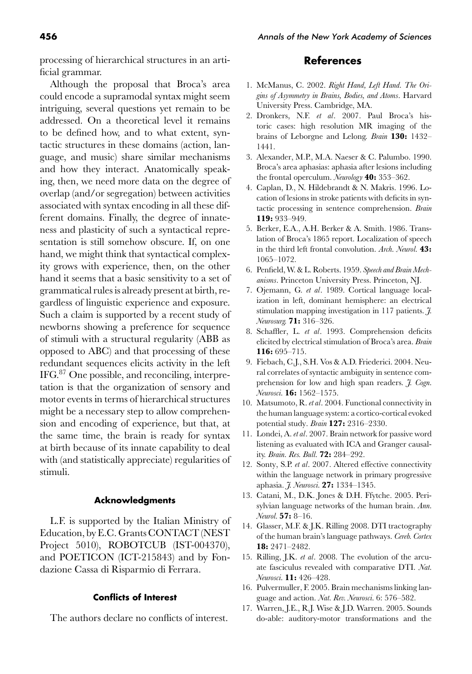processing of hierarchical structures in an artificial grammar.

Although the proposal that Broca's area could encode a supramodal syntax might seem intriguing, several questions yet remain to be addressed. On a theoretical level it remains to be defined how, and to what extent, syntactic structures in these domains (action, language, and music) share similar mechanisms and how they interact. Anatomically speaking, then, we need more data on the degree of overlap (and/or segregation) between activities associated with syntax encoding in all these different domains. Finally, the degree of innateness and plasticity of such a syntactical representation is still somehow obscure. If, on one hand, we might think that syntactical complexity grows with experience, then, on the other hand it seems that a basic sensitivity to a set of grammatical rules is already present at birth, regardless of linguistic experience and exposure. Such a claim is supported by a recent study of newborns showing a preference for sequence of stimuli with a structural regularity (ABB as opposed to ABC) and that processing of these redundant sequences elicits activity in the left IFG.87 One possible, and reconciling, interpretation is that the organization of sensory and motor events in terms of hierarchical structures might be a necessary step to allow comprehension and encoding of experience, but that, at the same time, the brain is ready for syntax at birth because of its innate capability to deal with (and statistically appreciate) regularities of stimuli.

#### **Acknowledgments**

L.F. is supported by the Italian Ministry of Education, by E.C. Grants CONTACT (NEST Project 5010), ROBOTCUB (IST-004370), and POETICON (ICT-215843) and by Fondazione Cassa di Risparmio di Ferrara.

#### **Conflicts of Interest**

The authors declare no conflicts of interest.

#### **References**

- 1. McManus, C. 2002. *Right Hand, Left Hand. The Origins of Asymmetry in Brains, Bodies, and Atoms*. Harvard University Press. Cambridge, MA.
- 2. Dronkers, N.F. *et al*. 2007. Paul Broca's historic cases: high resolution MR imaging of the brains of Leborgne and Lelong. *Brain* **130:** 1432– 1441.
- 3. Alexander, M.P., M.A. Naeser & C. Palumbo. 1990. Broca's area aphasias: aphasia after lesions including the frontal operculum. *Neurology* **40:** 353–362.
- 4. Caplan, D., N. Hildebrandt & N. Makris. 1996. Location of lesions in stroke patients with deficits in syntactic processing in sentence comprehension. *Brain* **119:** 933–949.
- 5. Berker, E.A., A.H. Berker & A. Smith. 1986. Translation of Broca's 1865 report. Localization of speech in the third left frontal convolution. *Arch. Neurol.* **43:** 1065–1072.
- 6. Penfield, W. & L. Roberts. 1959. *Speech and Brain Mechanisms*. Princeton University Press. Princeton, NJ.
- 7. Ojemann, G. *et al*. 1989. Cortical language localization in left, dominant hemisphere: an electrical stimulation mapping investigation in 117 patients. *J. Neurosurg.* **71:** 316–326.
- 8. Schaffler, L. *et al*. 1993. Comprehension deficits elicited by electrical stimulation of Broca's area. *Brain* **116:** 695–715.
- 9. Fiebach, C.J., S.H. Vos & A.D. Friederici. 2004. Neural correlates of syntactic ambiguity in sentence comprehension for low and high span readers. *J. Cogn. Neurosci.* **16:** 1562–1575.
- 10. Matsumoto, R. *et al*. 2004. Functional connectivity in the human language system: a cortico-cortical evoked potential study. *Brain* **127:** 2316–2330.
- 11. Londei, A. *et al*. 2007. Brain network for passive word listening as evaluated with ICA and Granger causality. *Brain. Res. Bull.* **72:** 284–292.
- 12. Sonty, S.P. *et al*. 2007. Altered effective connectivity within the language network in primary progressive aphasia. *J. Neurosci.* **27:** 1334–1345.
- 13. Catani, M., D.K. Jones & D.H. Ffytche. 2005. Perisylvian language networks of the human brain. *Ann. Neurol.* **57:** 8–16.
- 14. Glasser, M.F. & J.K. Rilling 2008. DTI tractography of the human brain's language pathways. *Cereb. Cortex* **18:** 2471–2482.
- 15. Rilling, J.K. *et al*. 2008. The evolution of the arcuate fasciculus revealed with comparative DTI. *Nat. Neurosci.* **11:** 426–428.
- 16. Pulvermuller, F. 2005. Brain mechanisms linking language and action. *Nat. Rev. Neurosci.* 6: 576–582.
- 17. Warren, J.E., R.J. Wise & J.D. Warren. 2005. Sounds do-able: auditory-motor transformations and the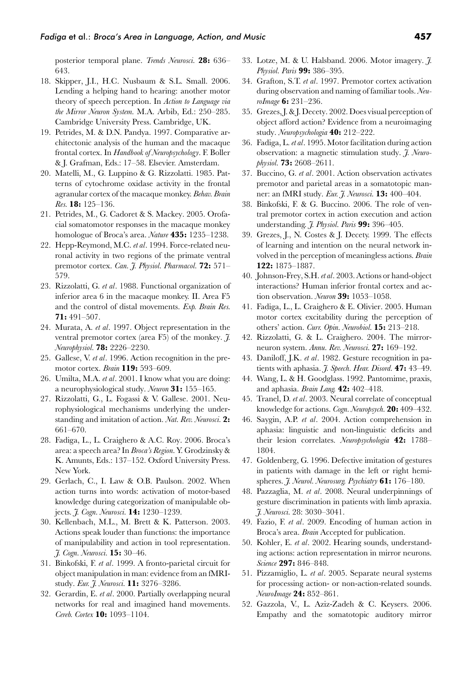posterior temporal plane. *Trends Neurosci.* **28:** 636– 643.

- 18. Skipper, J.I., H.C. Nusbaum & S.L. Small. 2006. Lending a helping hand to hearing: another motor theory of speech perception. In *Action to Language via the Mirror Neuron System*. M.A. Arbib, Ed.: 250–285. Cambridge University Press. Cambridge, UK.
- 19. Petrides, M. & D.N. Pandya. 1997. Comparative architectonic analysis of the human and the macaque frontal cortex. In *Handbook of Neuropsychology*. F. Boller & J. Grafman, Eds.: 17–58. Elsevier. Amsterdam.
- 20. Matelli, M., G. Luppino & G. Rizzolatti. 1985. Patterns of cytochrome oxidase activity in the frontal agranular cortex of the macaque monkey. *Behav. Brain Res.* **18:** 125–136.
- 21. Petrides, M., G. Cadoret & S. Mackey. 2005. Orofacial somatomotor responses in the macaque monkey homologue of Broca's area. *Nature* **435:** 1235–1238.
- 22. Hepp-Reymond, M.C. *et al*. 1994. Force-related neuronal activity in two regions of the primate ventral premotor cortex. *Can. J. Physiol. Pharmacol.* **72:** 571– 579.
- 23. Rizzolatti, G. *et al*. 1988. Functional organization of inferior area 6 in the macaque monkey. II. Area F5 and the control of distal movements. *Exp. Brain Res.* **71:** 491–507.
- 24. Murata, A. *et al*. 1997. Object representation in the ventral premotor cortex (area F5) of the monkey. *J. Neurophysiol.* **78:** 2226–2230.
- 25. Gallese, V. *et al*. 1996. Action recognition in the premotor cortex. *Brain* **119:** 593–609.
- 26. Umilta, M.A. *et al*. 2001. I know what you are doing: a neurophysiological study. *Neuron* **31:** 155–165.
- 27. Rizzolatti, G., L. Fogassi & V. Gallese. 2001. Neurophysiological mechanisms underlying the understanding and imitation of action. *Nat. Rev. Neurosci.* **2:** 661–670.
- 28. Fadiga, L., L. Craighero & A.C. Roy. 2006. Broca's area: a speech area? In *Broca's Region*. Y. Grodzinsky & K. Amunts, Eds.: 137–152. Oxford University Press. New York.
- 29. Gerlach, C., I. Law & O.B. Paulson. 2002. When action turns into words: activation of motor-based knowledge during categorization of manipulable objects. *J. Cogn. Neurosci.* **14:** 1230–1239.
- 30. Kellenbach, M.L., M. Brett & K. Patterson. 2003. Actions speak louder than functions: the importance of manipulability and action in tool representation. *J. Cogn. Neurosci.* **15:** 30–46.
- 31. Binkofski, F. *et al*. 1999. A fronto-parietal circuit for object manipulation in man: evidence from an fMRIstudy. *Eur. J. Neurosci.* **11:** 3276–3286.
- 32. Gerardin, E. *et al*. 2000. Partially overlapping neural networks for real and imagined hand movements. *Cereb. Cortex* **10:** 1093–1104.
- 33. Lotze, M. & U. Halsband. 2006. Motor imagery. *J. Physiol. Paris* **99:** 386–395.
- 34. Grafton, S.T. *et al*. 1997. Premotor cortex activation during observation and naming of familiar tools. *NeuroImage* **6:** 231–236.
- 35. Grezes, J. & J. Decety. 2002. Does visual perception of object afford action? Evidence from a neuroimaging study. *Neuropsychologia* **40:** 212–222.
- 36. Fadiga, L. *et al*. 1995. Motor facilitation during action observation: a magnetic stimulation study. *J. Neurophysiol.* **73:** 2608–2611.
- 37. Buccino, G. *et al*. 2001. Action observation activates premotor and parietal areas in a somatotopic manner: an fMRI study. *Eur. J. Neurosci.* **13:** 400–404.
- 38. Binkofski, F. & G. Buccino. 2006. The role of ventral premotor cortex in action execution and action understanding. *J. Physiol. Paris* **99:** 396–405.
- 39. Grezes, J., N. Costes & J. Decety. 1999. The effects of learning and intention on the neural network involved in the perception of meaningless actions. *Brain* **122:** 1875–1887.
- 40. Johnson-Frey, S.H. *et al*. 2003. Actions or hand-object interactions? Human inferior frontal cortex and action observation. *Neuron* **39:** 1053–1058.
- 41. Fadiga, L., L. Craighero & E. Olivier. 2005. Human motor cortex excitability during the perception of others' action. *Curr. Opin. Neurobiol.* **15:** 213–218.
- 42. Rizzolatti, G. & L. Craighero. 2004. The mirrorneuron system. *Annu. Rev. Neurosci.* **27:** 169–192.
- 43. Daniloff, J.K. *et al*. 1982. Gesture recognition in patients with aphasia. *J. Speech. Hear. Disord.* **47:** 43–49.
- 44. Wang, L. & H. Goodglass. 1992. Pantomime, praxis, and aphasia. *Brain Lang.* **42:** 402–418.
- 45. Tranel, D. *et al*. 2003. Neural correlate of conceptual knowledge for actions. *Cogn. Neuropsych.* **20:** 409–432.
- 46. Saygin, A.P. *et al*. 2004. Action comprehension in aphasia: linguistic and non-linguistic deficits and their lesion correlates. *Neuropsychologia* **42:** 1788– 1804.
- 47. Goldenberg, G. 1996. Defective imitation of gestures in patients with damage in the left or right hemispheres. *J. Neurol. Neurosurg. Psychiatry* **61:** 176–180.
- 48. Pazzaglia, M. *et al*. 2008. Neural underpinnings of gesture discrimination in patients with limb apraxia. *J. Neurosci.* 28: 3030–3041.
- 49. Fazio, F. *et al*. 2009. Encoding of human action in Broca's area. *Brain* Accepted for publication.
- 50. Kohler, E. *et al*. 2002. Hearing sounds, understanding actions: action representation in mirror neurons. *Science* **297:** 846–848.
- 51. Pizzamiglio, L. *et al*. 2005. Separate neural systems for processing action- or non-action-related sounds. *NeuroImage* **24:** 852–861.
- 52. Gazzola, V., L. Aziz-Zadeh & C. Keysers. 2006. Empathy and the somatotopic auditory mirror